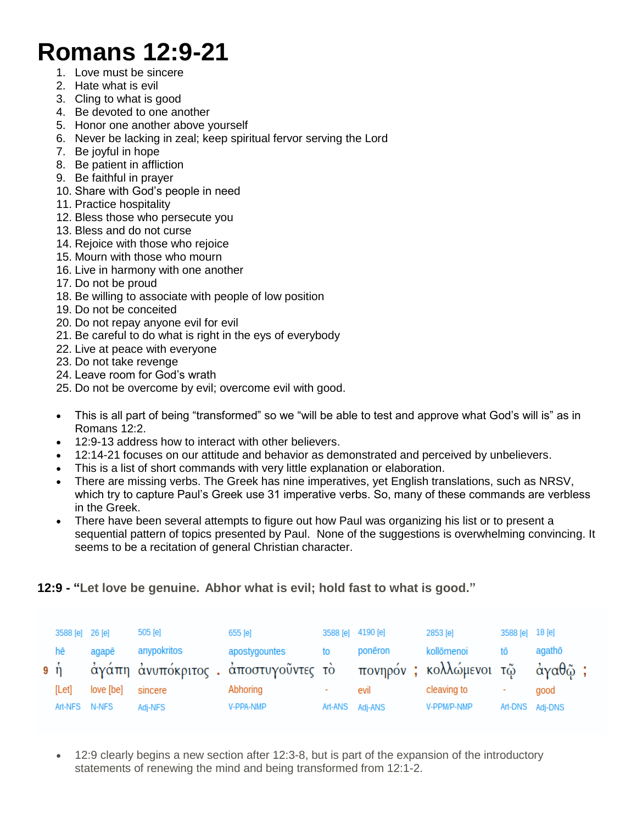## **Romans 12:9-21**

- 1. Love must be sincere
- 2. Hate what is evil
- 3. Cling to what is good
- 4. Be devoted to one another
- 5. Honor one another above yourself
- 6. Never be lacking in zeal; keep spiritual fervor serving the Lord
- 7. Be joyful in hope
- 8. Be patient in affliction
- 9. Be faithful in prayer
- 10. Share with God's people in need
- 11. Practice hospitality
- 12. Bless those who persecute you
- 13. Bless and do not curse
- 14. Rejoice with those who rejoice
- 15. Mourn with those who mourn
- 16. Live in harmony with one another
- 17. Do not be proud
- 18. Be willing to associate with people of low position
- 19. Do not be conceited
- 20. Do not repay anyone evil for evil
- 21. Be careful to do what is right in the eys of everybody
- 22. Live at peace with everyone
- 23. Do not take revenge
- 24. Leave room for God's wrath
- 25. Do not be overcome by evil; overcome evil with good.
- This is all part of being "transformed" so we "will be able to test and approve what God's will is" as in Romans 12:2.
- 12:9-13 address how to interact with other believers.
- 12:14-21 focuses on our attitude and behavior as demonstrated and perceived by unbelievers.
- This is a list of short commands with very little explanation or elaboration.
- There are missing verbs. The Greek has nine imperatives, yet English translations, such as NRSV, which try to capture Paul's Greek use 31 imperative verbs. So, many of these commands are verbless in the Greek.
- There have been several attempts to figure out how Paul was organizing his list or to present a sequential pattern of topics presented by Paul. None of the suggestions is overwhelming convincing. It seems to be a recitation of general Christian character.

**12:9 - "Let love be genuine. Abhor what is evil; hold fast to what is good."**

| 3588 [e] 26 [e]                |           | 505 [e]     | 655 [e]                                                                               | 3588 [e] 4190 [e] | 2853 [e]    | 3588 [e] 18 [e] |                 |
|--------------------------------|-----------|-------------|---------------------------------------------------------------------------------------|-------------------|-------------|-----------------|-----------------|
| hē<br>$9 \text{ }\mathring{0}$ | agapē     | anypokritos | apostygountes<br>άγάπη άνυπόκριτος . άποστυγοῦντες τὸ πονηρόν ; κολλώμενοι τῷ άγαθῷ ; | ponēron           | kollōmenoi  |                 | agathō          |
| [Let]                          | love [be] | sincere     | Abhoring                                                                              | evil              | cleaving to |                 | good            |
| Art-NFS N-NFS                  |           | Adj-NFS     | V-PPA-NMP                                                                             | Art-ANS Adj-ANS   | V-PPM/P-NMP |                 | Art-DNS Adj-DNS |

 12:9 clearly begins a new section after 12:3-8, but is part of the expansion of the introductory statements of renewing the mind and being transformed from 12:1-2.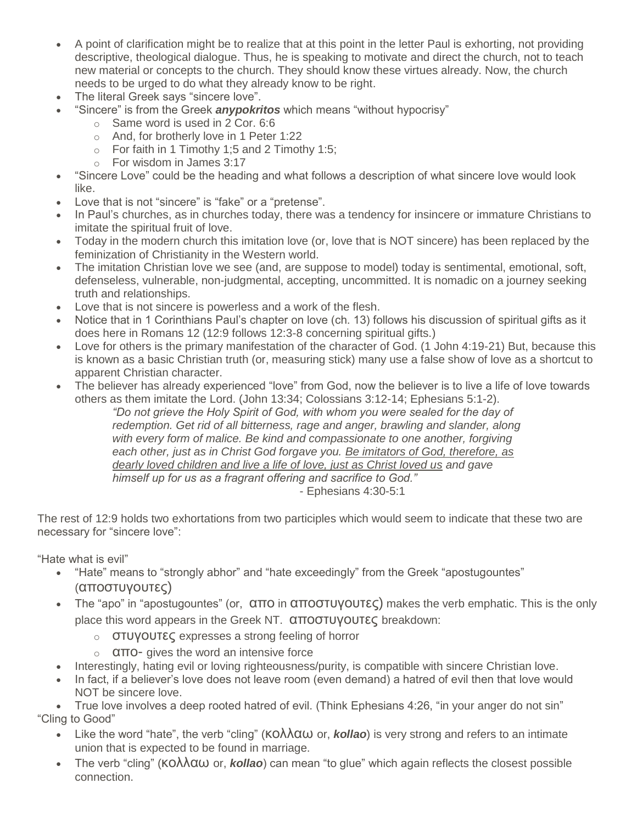- A point of clarification might be to realize that at this point in the letter Paul is exhorting, not providing descriptive, theological dialogue. Thus, he is speaking to motivate and direct the church, not to teach new material or concepts to the church. They should know these virtues already. Now, the church needs to be urged to do what they already know to be right.
- The literal Greek says "sincere love".
- "Sincere" is from the Greek *anypokritos* which means "without hypocrisy"
	- o Same word is used in 2 Cor. 6:6
	- o And, for brotherly love in 1 Peter 1:22
	- $\circ$  For faith in 1 Timothy 1;5 and 2 Timothy 1:5;
	- o For wisdom in James 3:17
- "Sincere Love" could be the heading and what follows a description of what sincere love would look like.
- Love that is not "sincere" is "fake" or a "pretense".
- In Paul's churches, as in churches today, there was a tendency for insincere or immature Christians to imitate the spiritual fruit of love.
- Today in the modern church this imitation love (or, love that is NOT sincere) has been replaced by the feminization of Christianity in the Western world.
- The imitation Christian love we see (and, are suppose to model) today is sentimental, emotional, soft, defenseless, vulnerable, non-judgmental, accepting, uncommitted. It is nomadic on a journey seeking truth and relationships.
- Love that is not sincere is powerless and a work of the flesh.
- Notice that in 1 Corinthians Paul's chapter on love (ch. 13) follows his discussion of spiritual gifts as it does here in Romans 12 (12:9 follows 12:3-8 concerning spiritual gifts.)
- Love for others is the primary manifestation of the character of God. (1 John 4:19-21) But, because this is known as a basic Christian truth (or, measuring stick) many use a false show of love as a shortcut to apparent Christian character.
- The believer has already experienced "love" from God, now the believer is to live a life of love towards others as them imitate the Lord. (John 13:34; Colossians 3:12-14; Ephesians 5:1-2).

*"Do not grieve the Holy Spirit of God, with whom you were sealed for the day of redemption. Get rid of all bitterness, rage and anger, brawling and slander, along with every form of malice. Be kind and compassionate to one another, forgiving each other, just as in Christ God forgave you. Be imitators of God, therefore, as dearly loved children and live a life of love, just as Christ loved us and gave himself up for us as a fragrant offering and sacrifice to God."* - Ephesians 4:30-5:1

The rest of 12:9 holds two exhortations from two participles which would seem to indicate that these two are necessary for "sincere love":

"Hate what is evil"

- "Hate" means to "strongly abhor" and "hate exceedingly" from the Greek "apostugountes" (αποστυγουτες)
- The "apo" in "apostugountes" (or, απο in αποστυγουτες) makes the verb emphatic. This is the only place this word appears in the Greek NT. αποστυγουτες breakdown:
	- o στυγουτες expresses a strong feeling of horror
	- o απο- gives the word an intensive force
- Interestingly, hating evil or loving righteousness/purity, is compatible with sincere Christian love.
- In fact, if a believer's love does not leave room (even demand) a hatred of evil then that love would NOT be sincere love.

 True love involves a deep rooted hatred of evil. (Think Ephesians 4:26, "in your anger do not sin" "Cling to Good"

- Like the word "hate", the verb "cling" (κολλαω or, *kollao*) is very strong and refers to an intimate union that is expected to be found in marriage.
- The verb "cling" (KOλλαω or, *kollao*) can mean "to glue" which again reflects the closest possible connection.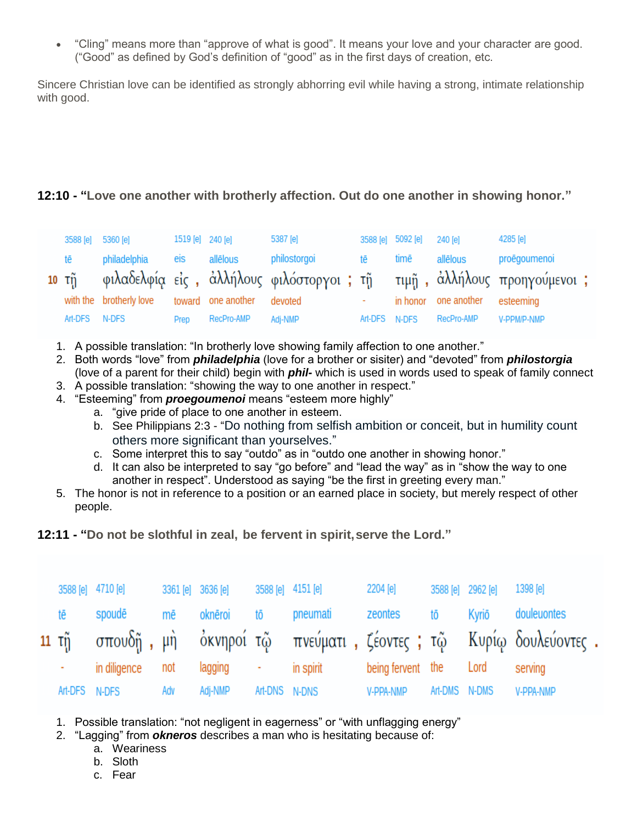"Cling" means more than "approve of what is good". It means your love and your character are good. ("Good" as defined by God's definition of "good" as in the first days of creation, etc.

Sincere Christian love can be identified as strongly abhorring evil while having a strong, intimate relationship with good.

## **12:10 - "Love one another with brotherly affection. Out do one another in showing honor."**

| 3588 [e] 5360 [e] |                         | 1519 [e] 240 [e] |                            | 5387 [e]                                                                      |               | 3588 [e] 5092 [e] 240 [e] |                                | 4285 [e]     |  |
|-------------------|-------------------------|------------------|----------------------------|-------------------------------------------------------------------------------|---------------|---------------------------|--------------------------------|--------------|--|
| tē                | philadelphia            | eis              | allēlous                   | philostorgoi                                                                  | tē da         | timē                      | allēlous                       | proēgoumenoi |  |
|                   |                         |                  |                            | 10 τῆ φιλαδελφία εἰς, ἀλλήλους φιλόστοργοι ; τῆ τιμῆ, ἀλλήλους προηγούμενοι ; |               |                           |                                |              |  |
|                   | with the brotherly love |                  | toward one another devoted |                                                                               |               |                           | in honor one another esteeming |              |  |
| Art-DFS N-DFS     |                         | Prep             | RecPro-AMP                 | Adi-NMP                                                                       | Art-DFS N-DFS |                           | RecPro-AMP                     | V-PPM/P-NMP  |  |

- 1. A possible translation: "In brotherly love showing family affection to one another."
- 2. Both words "love" from *philadelphia* (love for a brother or sisiter) and "devoted" from *philostorgia* (love of a parent for their child) begin with *phil-* which is used in words used to speak of family connect
- 3. A possible translation: "showing the way to one another in respect."
- 4. "Esteeming" from *proegoumenoi* means "esteem more highly"
	- a. "give pride of place to one another in esteem.
	- b. See Philippians 2:3 "Do nothing from selfish ambition or conceit, but in humility count others more significant than yourselves."
	- c. Some interpret this to say "outdo" as in "outdo one another in showing honor."
	- d. It can also be interpreted to say "go before" and "lead the way" as in "show the way to one another in respect". Understood as saying "be the first in greeting every man."
- 5. The honor is not in reference to a position or an earned place in society, but merely respect of other people.
- **12:11 - "Do not be slothful in zeal, be fervent in spirit,serve the Lord."**

|       | 3588 [e] 4710 [e]  |     | 3361 [e] 3636 [e] |               | 3588 [e] 4151 [e] | 2204 [e]               |               | 3588 [e] 2962 [e] 1398 [e] |                                                                      |
|-------|--------------------|-----|-------------------|---------------|-------------------|------------------------|---------------|----------------------------|----------------------------------------------------------------------|
| të sh | spoudē             |     | mē oknēroi tō     |               | pneumati zeontes  |                        | tō            |                            | Kyriō douleuontes                                                    |
|       |                    |     |                   |               |                   |                        |               |                            | 11 τη σπουδή, μη όκνηροί τώ πνεύματι, ζέοντες; τώ Κυρίω δουλεύοντες. |
|       | - in diligence not |     | lagging -         |               | in spirit         | being fervent the Lord |               |                            | serving                                                              |
|       | Art-DFS N-DFS      | Adv | Adj-NMP           | Art-DNS N-DNS |                   | V-PPA-NMP              | Art-DMS N-DMS |                            | V-PPA-NMP                                                            |

- 1. Possible translation: "not negligent in eagerness" or "with unflagging energy"
- 2. "Lagging" from *okneros* describes a man who is hesitating because of:
	- a. Weariness
		- b. Sloth
		- c. Fear